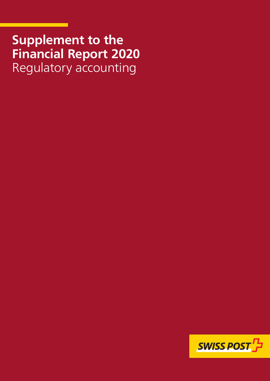## **Supplement to the Financial Report 2020** Regulatory accounting

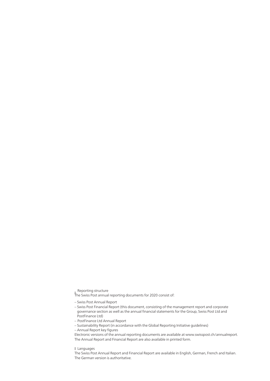Reporting structure

The Swiss Post annual reporting documents for 2020 consist of:

– Swiss Post Annual Report

- Swiss Post Financial Report (this document, consisting of the management report and corporate governance section as well as the annual financial statements for the Group, Swiss Post Ltd and PostFinance Ltd)
- PostFinance Ltd Annual Report
- Sustainability Report (in accordance with the Global Reporting Initiative guidelines)
- Annual Report key figures

Electronic versions of the annual reporting documents are available at www.swisspost.ch/annualreport. The Annual Report and Financial Report are also available in printed form.

Languages

The Swiss Post Annual Report and Financial Report are available in English, German, French and Italian. The German version is authoritative.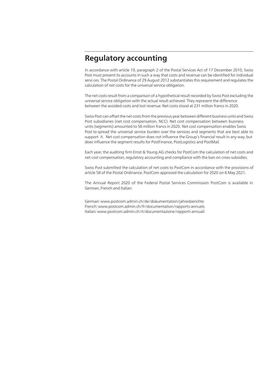## **Regulatory accounting**

In accordance with article 19, paragraph 2 of the Postal Services Act of 17 December 2010, Swiss Post must present its accounts in such a way that costs and revenue can be identified for individual servi ces. The Postal Ordinance of 29 August 2012 substantiates this requirement and regulates the calculation of net costs for the universal service obligation.

The net costs result from a comparison of a hypothetical result recorded by Swiss Post excluding the universal service obligation with the actual result achieved. They represent the difference between the avoided costs and lost revenue. Net costs stood at 231 million francs in 2020.

Swiss Post can offset the net costs from the previous year between different business units and Swiss-Post subsidiaries (net cost compensation, NCC). Net cost compensation between business units (segments) amounted to 56 million francs in 2020. Net cost compensation enables Swiss-Post to spread the universal service burden over the services and segments that are best able to support it. Net cost compensation does not influence the Group's financial result in any way, but does influence the segment results for PostFinance, PostLogistics and PostMail.

Each year, the auditing firm Ernst & Young AG checks for PostCom the calculation of net costs and net cost compensation, regulatory accounting and compliance with the ban on cross-subsidies.

Swiss Post submitted the calculation of net costs to PostCom in accordance with the provisions of article 58 of the Postal Ordinance. PostCom approved the calculation for 2020 on 6 May 2021.

The Annual Report 2020 of the Federal Postal Services Commission PostCom is available in German, French and Italian:

German: [www.postcom.admin.ch/de/dokumentation/jahresberichte](http://www.postcom.admin.ch/de/dokumentation/jahresberichte) French: www.postcom.admin.ch/fr/documentation/rapports-annuels Italian: [www.postcom.admin.ch/it/documentazione/rapporti-annuali](http://www.postcom.admin.ch/it/documentazione/rapporti-annuali)